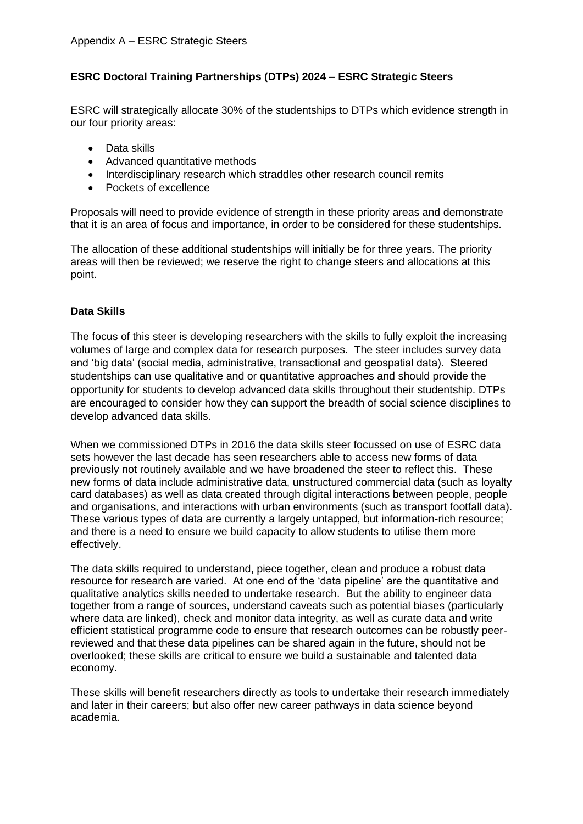# **ESRC Doctoral Training Partnerships (DTPs) 2024 – ESRC Strategic Steers**

ESRC will strategically allocate 30% of the studentships to DTPs which evidence strength in our four priority areas:

- Data skills
- Advanced quantitative methods
- Interdisciplinary research which straddles other research council remits
- Pockets of excellence

Proposals will need to provide evidence of strength in these priority areas and demonstrate that it is an area of focus and importance, in order to be considered for these studentships.

The allocation of these additional studentships will initially be for three years. The priority areas will then be reviewed; we reserve the right to change steers and allocations at this point.

## **Data Skills**

The focus of this steer is developing researchers with the skills to fully exploit the increasing volumes of large and complex data for research purposes. The steer includes survey data and 'big data' (social media, administrative, transactional and geospatial data). Steered studentships can use qualitative and or quantitative approaches and should provide the opportunity for students to develop advanced data skills throughout their studentship. DTPs are encouraged to consider how they can support the breadth of social science disciplines to develop advanced data skills.

When we commissioned DTPs in 2016 the data skills steer focussed on use of ESRC data sets however the last decade has seen researchers able to access new forms of data previously not routinely available and we have broadened the steer to reflect this. These new forms of data include administrative data, unstructured commercial data (such as loyalty card databases) as well as data created through digital interactions between people, people and organisations, and interactions with urban environments (such as transport footfall data). These various types of data are currently a largely untapped, but information-rich resource; and there is a need to ensure we build capacity to allow students to utilise them more effectively.

The data skills required to understand, piece together, clean and produce a robust data resource for research are varied. At one end of the 'data pipeline' are the quantitative and qualitative analytics skills needed to undertake research. But the ability to engineer data together from a range of sources, understand caveats such as potential biases (particularly where data are linked), check and monitor data integrity, as well as curate data and write efficient statistical programme code to ensure that research outcomes can be robustly peerreviewed and that these data pipelines can be shared again in the future, should not be overlooked; these skills are critical to ensure we build a sustainable and talented data economy.

These skills will benefit researchers directly as tools to undertake their research immediately and later in their careers; but also offer new career pathways in data science beyond academia.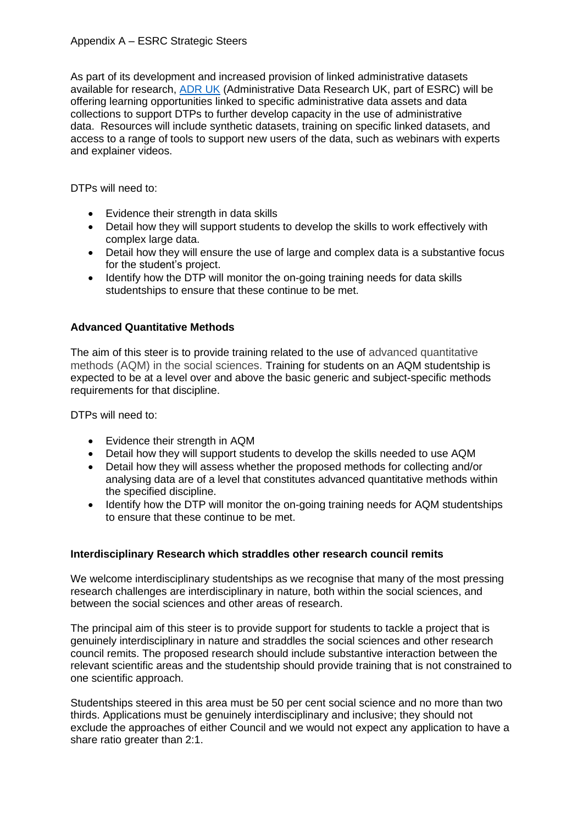## Appendix A – ESRC Strategic Steers

As part of its development and increased provision of linked administrative datasets available for research, [ADR UK](https://www.adruk.org/) (Administrative Data Research UK, part of ESRC) will be offering learning opportunities linked to specific administrative data assets and data collections to support DTPs to further develop capacity in the use of administrative data. Resources will include synthetic datasets, training on specific linked datasets, and access to a range of tools to support new users of the data, such as webinars with experts and explainer videos.

DTPs will need to:

- Evidence their strength in data skills
- Detail how they will support students to develop the skills to work effectively with complex large data.
- Detail how they will ensure the use of large and complex data is a substantive focus for the student's project.
- Identify how the DTP will monitor the on-going training needs for data skills studentships to ensure that these continue to be met.

## **Advanced Quantitative Methods**

The aim of this steer is to provide training related to the use of advanced quantitative methods (AQM) in the social sciences. Training for students on an AQM studentship is expected to be at a level over and above the basic generic and subject-specific methods requirements for that discipline.

DTPs will need to:

- Evidence their strength in AQM
- Detail how they will support students to develop the skills needed to use AQM
- Detail how they will assess whether the proposed methods for collecting and/or analysing data are of a level that constitutes advanced quantitative methods within the specified discipline.
- Identify how the DTP will monitor the on-going training needs for AQM studentships to ensure that these continue to be met.

#### **Interdisciplinary Research which straddles other research council remits**

We welcome interdisciplinary studentships as we recognise that many of the most pressing research challenges are interdisciplinary in nature, both within the social sciences, and between the social sciences and other areas of research.

The principal aim of this steer is to provide support for students to tackle a project that is genuinely interdisciplinary in nature and straddles the social sciences and other research council remits. The proposed research should include substantive interaction between the relevant scientific areas and the studentship should provide training that is not constrained to one scientific approach.

Studentships steered in this area must be 50 per cent social science and no more than two thirds. Applications must be genuinely interdisciplinary and inclusive; they should not exclude the approaches of either Council and we would not expect any application to have a share ratio greater than 2:1.